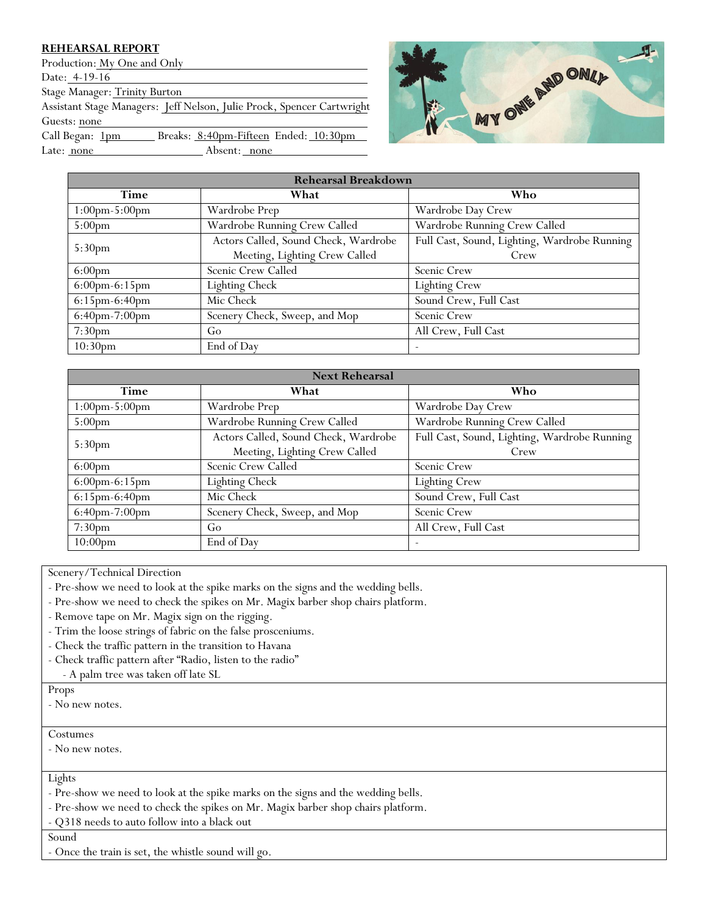## **REHEARSAL REPORT**

Production: My One and Only Date: 4-19-16 Stage Manager: Trinity Burton Assistant Stage Managers: Jeff Nelson, Julie Prock, Spencer Cartwright Guests: none Call Began: 1pm Breaks: 8:40pm-Fifteen Ended: 10:30pm Late: <u>none</u> Absent: <u>none</u>



| <b>Rehearsal Breakdown</b>      |                                      |                                              |
|---------------------------------|--------------------------------------|----------------------------------------------|
| Time                            | What                                 | Who                                          |
| $1:00 \text{pm-}5:00 \text{pm}$ | Wardrobe Prep                        | Wardrobe Day Crew                            |
| 5:00 <sub>pm</sub>              | Wardrobe Running Crew Called         | Wardrobe Running Crew Called                 |
| 5:30pm                          | Actors Called, Sound Check, Wardrobe | Full Cast, Sound, Lighting, Wardrobe Running |
|                                 | Meeting, Lighting Crew Called        | Crew                                         |
| $6:00 \text{pm}$                | Scenic Crew Called                   | Scenic Crew                                  |
| $6:00 \text{pm-}6:15 \text{pm}$ | <b>Lighting Check</b>                | <b>Lighting Crew</b>                         |
| $6:15pm-6:40pm$                 | Mic Check                            | Sound Crew, Full Cast                        |
| 6:40pm-7:00pm                   | Scenery Check, Sweep, and Mop        | Scenic Crew                                  |
| 7:30 <sub>pm</sub>              | Go                                   | All Crew, Full Cast                          |
| 10:30 <sub>pm</sub>             | End of Dav                           |                                              |

| <b>Next Rehearsal</b>             |                                      |                                              |
|-----------------------------------|--------------------------------------|----------------------------------------------|
| Time                              | What                                 | Who                                          |
| $1:00 \text{pm} - 5:00 \text{pm}$ | Wardrobe Prep                        | Wardrobe Day Crew                            |
| 5:00 <sub>pm</sub>                | Wardrobe Running Crew Called         | Wardrobe Running Crew Called                 |
| 5:30 <sub>pm</sub>                | Actors Called, Sound Check, Wardrobe | Full Cast, Sound, Lighting, Wardrobe Running |
|                                   | Meeting, Lighting Crew Called        | Crew                                         |
| 6:00 <sub>pm</sub>                | Scenic Crew Called                   | Scenic Crew                                  |
| $6:00 \text{pm-}6:15 \text{pm}$   | <b>Lighting Check</b>                | <b>Lighting Crew</b>                         |
| 6:15pm-6:40pm                     | Mic Check                            | Sound Crew, Full Cast                        |
| 6:40pm-7:00pm                     | Scenery Check, Sweep, and Mop        | Scenic Crew                                  |
| 7:30 <sub>pm</sub>                | Go                                   | All Crew, Full Cast                          |
| $10:00$ pm                        | End of Day                           |                                              |

Scenery/Technical Direction

- Pre-show we need to look at the spike marks on the signs and the wedding bells.
- Pre-show we need to check the spikes on Mr. Magix barber shop chairs platform.
- Remove tape on Mr. Magix sign on the rigging.
- Trim the loose strings of fabric on the false prosceniums.
- Check the traffic pattern in the transition to Havana
- Check traffic pattern after "Radio, listen to the radio"
- A palm tree was taken off late SL

Props

- No new notes.

Costumes

- No new notes.

Lights

- Pre-show we need to look at the spike marks on the signs and the wedding bells.
- Pre-show we need to check the spikes on Mr. Magix barber shop chairs platform.
- Q318 needs to auto follow into a black out

Sound

- Once the train is set, the whistle sound will go.